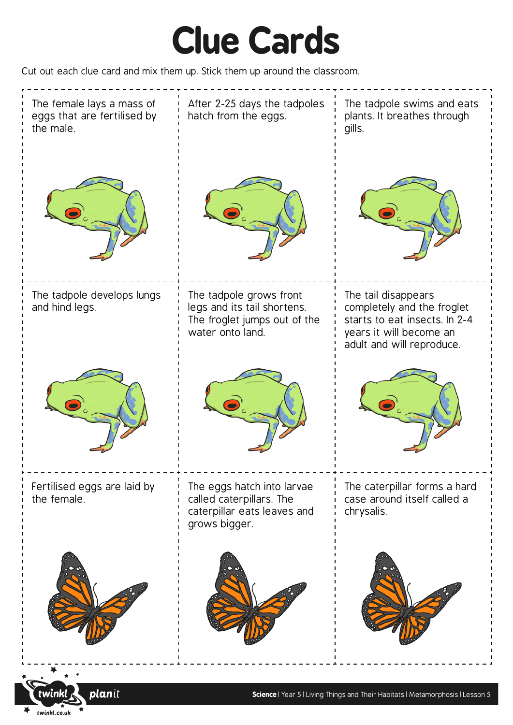## **Clue Cards**

Cut out each clue card and mix them up. Stick them up around the classroom.

twinkl.co.uk